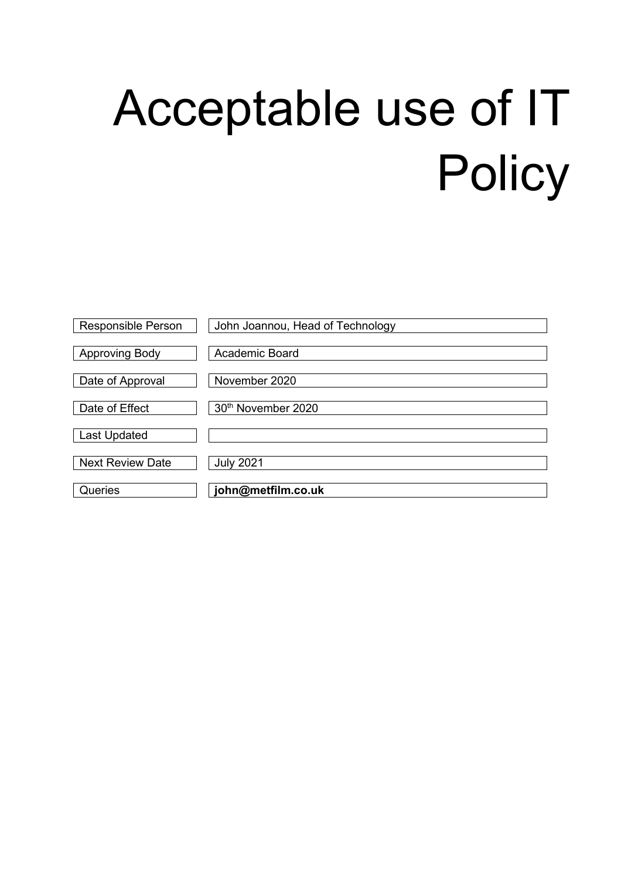# Acceptable use of IT **Policy**

| <b>Responsible Person</b> | John Joannou, Head of Technology |
|---------------------------|----------------------------------|
| <b>Approving Body</b>     | Academic Board                   |
| Date of Approval          | November 2020                    |
| Date of Effect            | 30 <sup>th</sup> November 2020   |
| <b>Last Updated</b>       |                                  |
| <b>Next Review Date</b>   | <b>July 2021</b>                 |
| Queries                   | john@metfilm.co.uk               |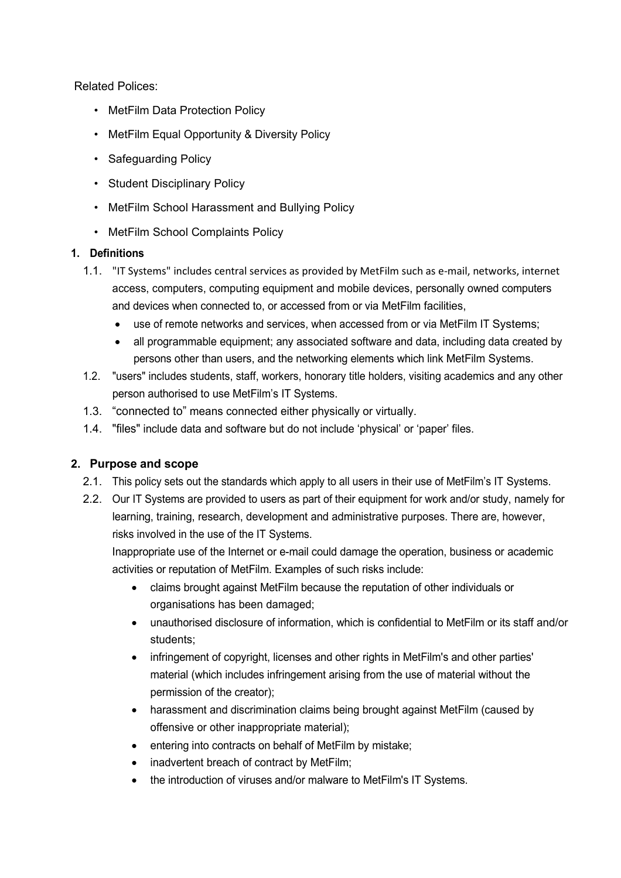Related Polices:

- MetFilm Data Protection Policy
- MetFilm Equal Opportunity & Diversity Policy
- Safeguarding Policy
- Student Disciplinary Policy
- MetFilm School Harassment and Bullying Policy
- MetFilm School Complaints Policy

## **1. Definitions**

- 1.1. "IT Systems" includes central services as provided by MetFilm such as e-mail, networks, internet access, computers, computing equipment and mobile devices, personally owned computers and devices when connected to, or accessed from or via MetFilm facilities,
	- use of remote networks and services, when accessed from or via MetFilm IT Systems;
	- all programmable equipment; any associated software and data, including data created by persons other than users, and the networking elements which link MetFilm Systems.
- 1.2. "users" includes students, staff, workers, honorary title holders, visiting academics and any other person authorised to use MetFilm's IT Systems.
- 1.3. "connected to" means connected either physically or virtually.
- 1.4. "files" include data and software but do not include 'physical' or 'paper' files.

## **2. Purpose and scope**

- 2.1. This policy sets out the standards which apply to all users in their use of MetFilm's IT Systems.
- 2.2. Our IT Systems are provided to users as part of their equipment for work and/or study, namely for learning, training, research, development and administrative purposes. There are, however, risks involved in the use of the IT Systems.

Inappropriate use of the Internet or e-mail could damage the operation, business or academic activities or reputation of MetFilm. Examples of such risks include:

- claims brought against MetFilm because the reputation of other individuals or organisations has been damaged;
- unauthorised disclosure of information, which is confidential to MetFilm or its staff and/or students;
- infringement of copyright, licenses and other rights in MetFilm's and other parties' material (which includes infringement arising from the use of material without the permission of the creator);
- harassment and discrimination claims being brought against MetFilm (caused by offensive or other inappropriate material);
- entering into contracts on behalf of MetFilm by mistake;
- inadvertent breach of contract by MetFilm;
- the introduction of viruses and/or malware to MetFilm's IT Systems.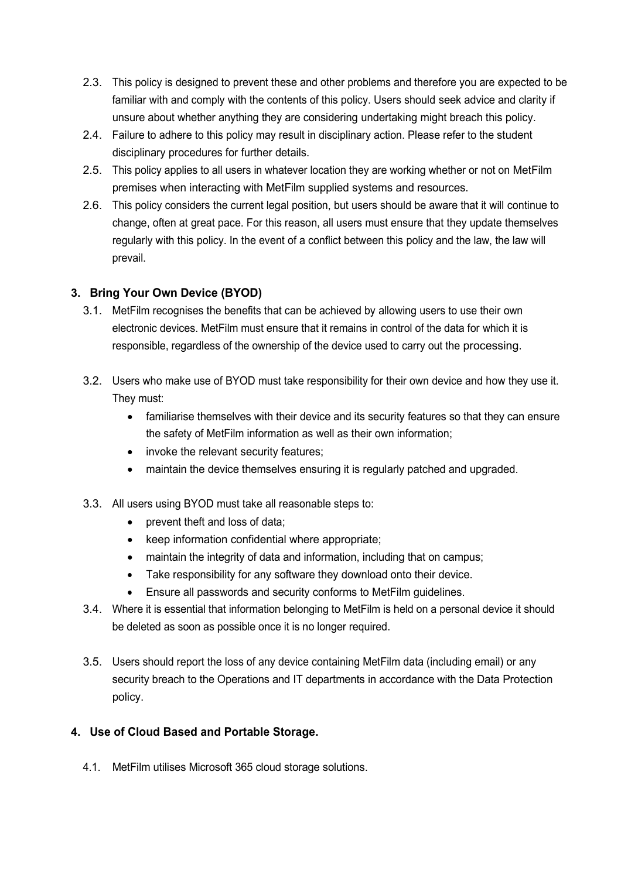- 2.3. This policy is designed to prevent these and other problems and therefore you are expected to be familiar with and comply with the contents of this policy. Users should seek advice and clarity if unsure about whether anything they are considering undertaking might breach this policy.
- 2.4. Failure to adhere to this policy may result in disciplinary action. Please refer to the student disciplinary procedures for further details.
- 2.5. This policy applies to all users in whatever location they are working whether or not on MetFilm premises when interacting with MetFilm supplied systems and resources.
- 2.6. This policy considers the current legal position, but users should be aware that it will continue to change, often at great pace. For this reason, all users must ensure that they update themselves regularly with this policy. In the event of a conflict between this policy and the law, the law will prevail.

# **3. Bring Your Own Device (BYOD)**

- 3.1. MetFilm recognises the benefits that can be achieved by allowing users to use their own electronic devices. MetFilm must ensure that it remains in control of the data for which it is responsible, regardless of the ownership of the device used to carry out the processing.
- 3.2. Users who make use of BYOD must take responsibility for their own device and how they use it. They must:
	- familiarise themselves with their device and its security features so that they can ensure the safety of MetFilm information as well as their own information;
	- invoke the relevant security features;
	- maintain the device themselves ensuring it is regularly patched and upgraded.
- 3.3. All users using BYOD must take all reasonable steps to:
	- prevent theft and loss of data:
	- keep information confidential where appropriate;
	- maintain the integrity of data and information, including that on campus;
	- Take responsibility for any software they download onto their device.
	- Ensure all passwords and security conforms to MetFilm guidelines.
- 3.4. Where it is essential that information belonging to MetFilm is held on a personal device it should be deleted as soon as possible once it is no longer required.
- 3.5. Users should report the loss of any device containing MetFilm data (including email) or any security breach to the Operations and IT departments in accordance with the Data Protection policy.

## **4. Use of Cloud Based and Portable Storage.**

4.1. MetFilm utilises Microsoft 365 cloud storage solutions.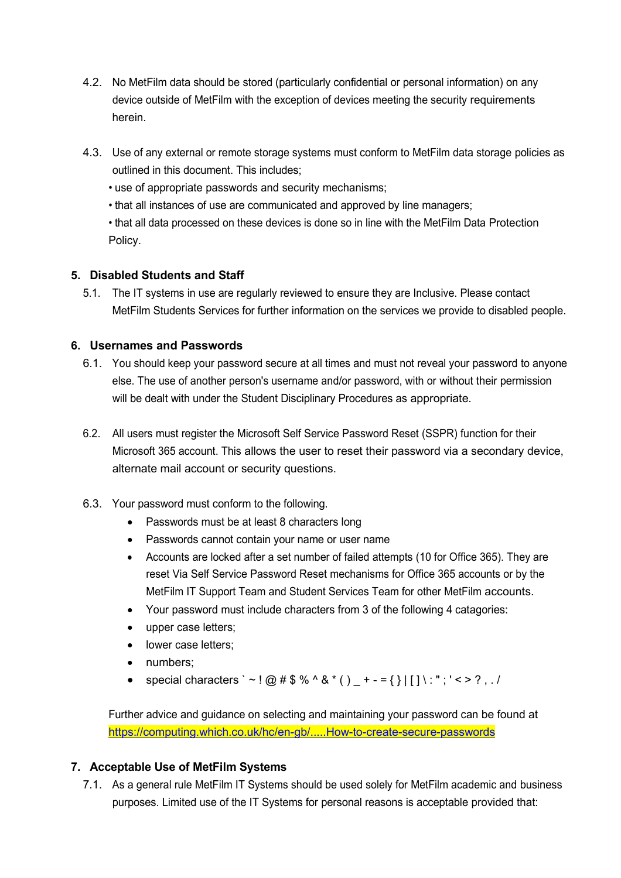- 4.2. No MetFilm data should be stored (particularly confidential or personal information) on any device outside of MetFilm with the exception of devices meeting the security requirements herein.
- 4.3. Use of any external or remote storage systems must conform to MetFilm data storage policies as outlined in this document. This includes;
	- use of appropriate passwords and security mechanisms;
	- that all instances of use are communicated and approved by line managers;

• that all data processed on these devices is done so in line with the MetFilm Data Protection Policy.

## **5. Disabled Students and Staff**

5.1. The IT systems in use are regularly reviewed to ensure they are Inclusive. Please contact MetFilm Students Services for further information on the services we provide to disabled people.

## **6. Usernames and Passwords**

- 6.1. You should keep your password secure at all times and must not reveal your password to anyone else. The use of another person's username and/or password, with or without their permission will be dealt with under the Student Disciplinary Procedures as appropriate.
- 6.2. All users must register the Microsoft Self Service Password Reset (SSPR) function for their Microsoft 365 account. This allows the user to reset their password via a secondary device, alternate mail account or security questions.
- 6.3. Your password must conform to the following.
	- Passwords must be at least 8 characters long
	- Passwords cannot contain your name or user name
	- Accounts are locked after a set number of failed attempts (10 for Office 365). They are reset Via Self Service Password Reset mechanisms for Office 365 accounts or by the MetFilm IT Support Team and Student Services Team for other MetFilm accounts.
	- Your password must include characters from 3 of the following 4 catagories:
	- upper case letters;
	- lower case letters;
	- numbers;
	- special characters ` ~ ! @ # \$ % ^ & \* ( )  $+ = \{\}\ | [ ] \ : " ; ' < ? , . /$

Further advice and guidance on selecting and maintaining your password can be found at [https://computing.which.co.uk/hc/en-gb/.....How-to-create-secure-passwords](https://computing.which.co.uk/hc/en-gb/articles/360000818025-How-to-create-secure-passwords)

## **7. Acceptable Use of MetFilm Systems**

7.1. As a general rule MetFilm IT Systems should be used solely for MetFilm academic and business purposes. Limited use of the IT Systems for personal reasons is acceptable provided that: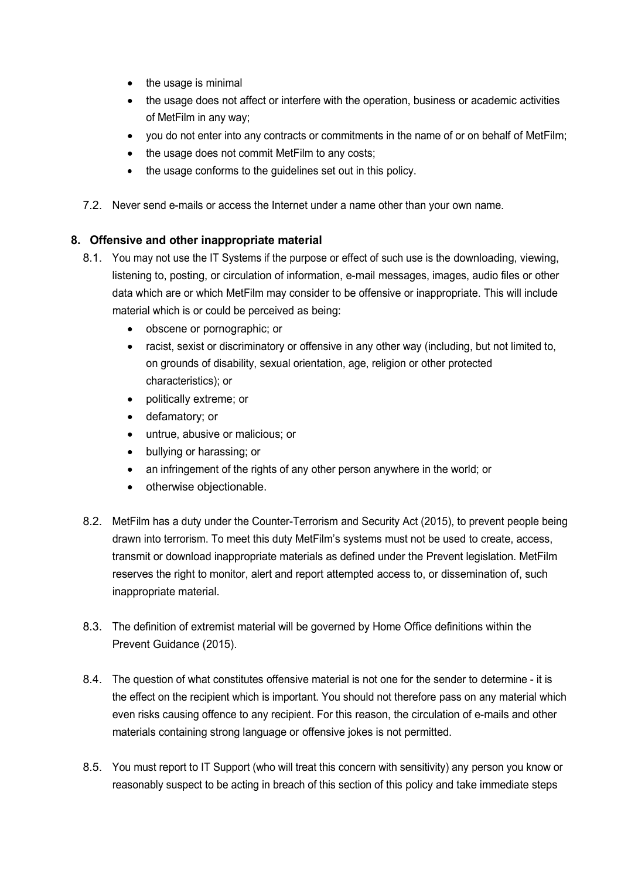- the usage is minimal
- the usage does not affect or interfere with the operation, business or academic activities of MetFilm in any way;
- you do not enter into any contracts or commitments in the name of or on behalf of MetFilm;
- the usage does not commit MetFilm to any costs;
- the usage conforms to the guidelines set out in this policy.
- 7.2. Never send e-mails or access the Internet under a name other than your own name.

## **8. Offensive and other inappropriate material**

- 8.1. You may not use the IT Systems if the purpose or effect of such use is the downloading, viewing, listening to, posting, or circulation of information, e-mail messages, images, audio files or other data which are or which MetFilm may consider to be offensive or inappropriate. This will include material which is or could be perceived as being:
	- obscene or pornographic; or
	- racist, sexist or discriminatory or offensive in any other way (including, but not limited to, on grounds of disability, sexual orientation, age, religion or other protected characteristics); or
	- politically extreme; or
	- defamatory; or
	- untrue, abusive or malicious; or
	- bullying or harassing; or
	- an infringement of the rights of any other person anywhere in the world; or
	- otherwise objectionable.
- 8.2. MetFilm has a duty under the Counter-Terrorism and Security Act (2015), to prevent people being drawn into terrorism. To meet this duty MetFilm's systems must not be used to create, access, transmit or download inappropriate materials as defined under the Prevent legislation. MetFilm reserves the right to monitor, alert and report attempted access to, or dissemination of, such inappropriate material.
- 8.3. The definition of extremist material will be governed by Home Office definitions within the Prevent Guidance (2015).
- 8.4. The question of what constitutes offensive material is not one for the sender to determine it is the effect on the recipient which is important. You should not therefore pass on any material which even risks causing offence to any recipient. For this reason, the circulation of e-mails and other materials containing strong language or offensive jokes is not permitted.
- 8.5. You must report to IT Support (who will treat this concern with sensitivity) any person you know or reasonably suspect to be acting in breach of this section of this policy and take immediate steps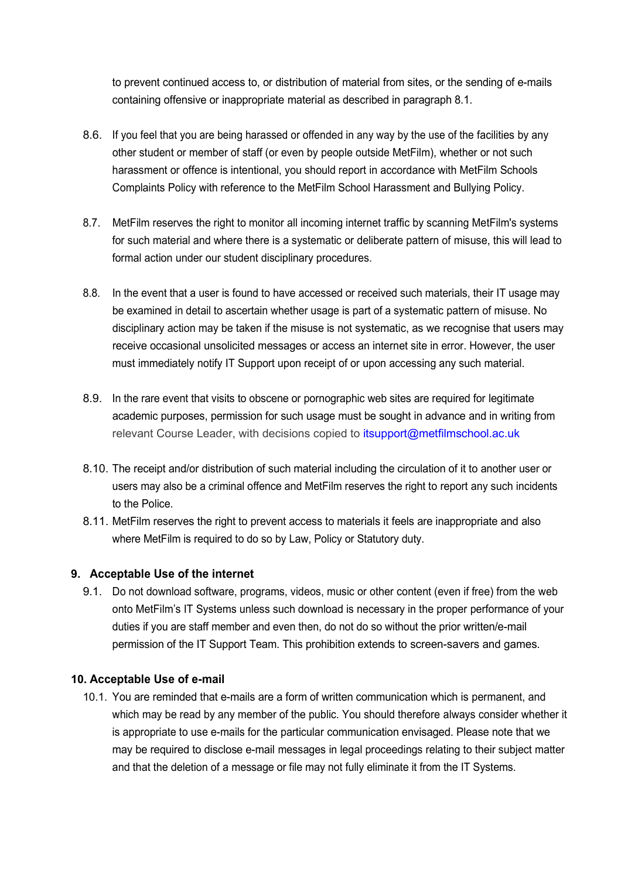to prevent continued access to, or distribution of material from sites, or the sending of e-mails containing offensive or inappropriate material as described in paragraph 8.1.

- 8.6. If you feel that you are being harassed or offended in any way by the use of the facilities by any other student or member of staff (or even by people outside MetFilm), whether or not such harassment or offence is intentional, you should report in accordance with MetFilm Schools Complaints Policy with reference to the MetFilm School Harassment and Bullying Policy.
- 8.7. MetFilm reserves the right to monitor all incoming internet traffic by scanning MetFilm's systems for such material and where there is a systematic or deliberate pattern of misuse, this will lead to formal action under our student disciplinary procedures.
- 8.8. In the event that a user is found to have accessed or received such materials, their IT usage may be examined in detail to ascertain whether usage is part of a systematic pattern of misuse. No disciplinary action may be taken if the misuse is not systematic, as we recognise that users may receive occasional unsolicited messages or access an internet site in error. However, the user must immediately notify IT Support upon receipt of or upon accessing any such material.
- 8.9. In the rare event that visits to obscene or pornographic web sites are required for legitimate academic purposes, permission for such usage must be sought in advance and in writing from relevant Course Leader, with decisions copied to [itsupport@metfilmschool.ac.uk](mailto:itsupport@metfilmschool.ac.uk)
- 8.10. The receipt and/or distribution of such material including the circulation of it to another user or users may also be a criminal offence and MetFilm reserves the right to report any such incidents to the Police.
- 8.11. MetFilm reserves the right to prevent access to materials it feels are inappropriate and also where MetFilm is required to do so by Law, Policy or Statutory duty.

## **9. Acceptable Use of the internet**

9.1. Do not download software, programs, videos, music or other content (even if free) from the web onto MetFilm's IT Systems unless such download is necessary in the proper performance of your duties if you are staff member and even then, do not do so without the prior written/e-mail permission of the IT Support Team. This prohibition extends to screen-savers and games.

#### **10. Acceptable Use of e-mail**

10.1. You are reminded that e-mails are a form of written communication which is permanent, and which may be read by any member of the public. You should therefore always consider whether it is appropriate to use e-mails for the particular communication envisaged. Please note that we may be required to disclose e-mail messages in legal proceedings relating to their subject matter and that the deletion of a message or file may not fully eliminate it from the IT Systems.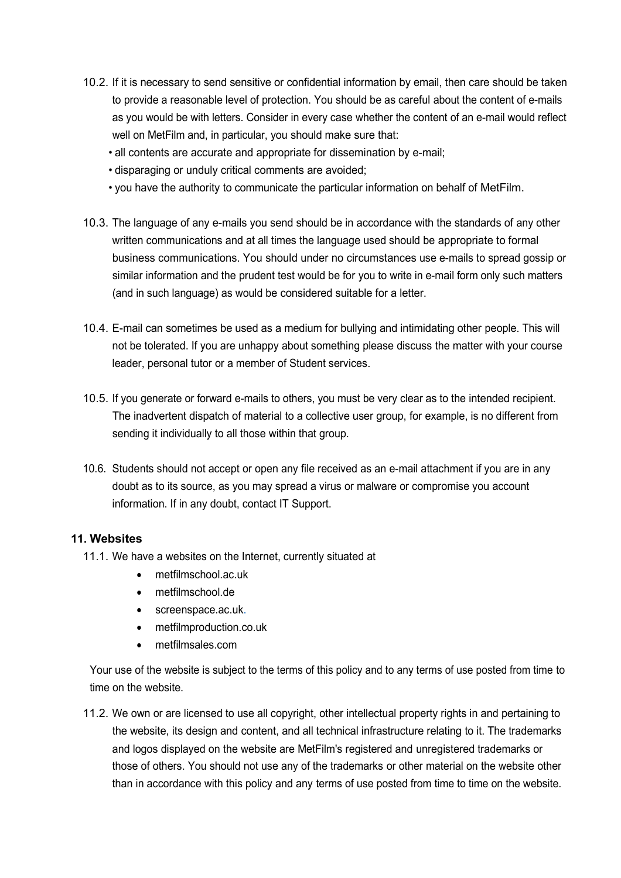- 10.2. If it is necessary to send sensitive or confidential information by email, then care should be taken to provide a reasonable level of protection. You should be as careful about the content of e-mails as you would be with letters. Consider in every case whether the content of an e-mail would reflect well on MetFilm and, in particular, you should make sure that:
	- all contents are accurate and appropriate for dissemination by e-mail;
	- disparaging or unduly critical comments are avoided;
	- you have the authority to communicate the particular information on behalf of MetFilm.
- 10.3. The language of any e-mails you send should be in accordance with the standards of any other written communications and at all times the language used should be appropriate to formal business communications. You should under no circumstances use e-mails to spread gossip or similar information and the prudent test would be for you to write in e-mail form only such matters (and in such language) as would be considered suitable for a letter.
- 10.4. E-mail can sometimes be used as a medium for bullying and intimidating other people. This will not be tolerated. If you are unhappy about something please discuss the matter with your course leader, personal tutor or a member of Student services.
- 10.5. If you generate or forward e-mails to others, you must be very clear as to the intended recipient. The inadvertent dispatch of material to a collective user group, for example, is no different from sending it individually to all those within that group.
- 10.6. Students should not accept or open any file received as an e-mail attachment if you are in any doubt as to its source, as you may spread a virus or malware or compromise you account information. If in any doubt, contact IT Support.

#### **11. Websites**

- 11.1. We have a websites on the Internet, currently situated at
	- metfilmschool.ac.uk
	- metfilmschool.de
	- screenspace.ac.uk.
	- metfilmproduction.co.uk
	- metfilmsales.com

Your use of the website is subject to the terms of this policy and to any terms of use posted from time to time on the website.

11.2. We own or are licensed to use all copyright, other intellectual property rights in and pertaining to the website, its design and content, and all technical infrastructure relating to it. The trademarks and logos displayed on the website are MetFilm's registered and unregistered trademarks or those of others. You should not use any of the trademarks or other material on the website other than in accordance with this policy and any terms of use posted from time to time on the website.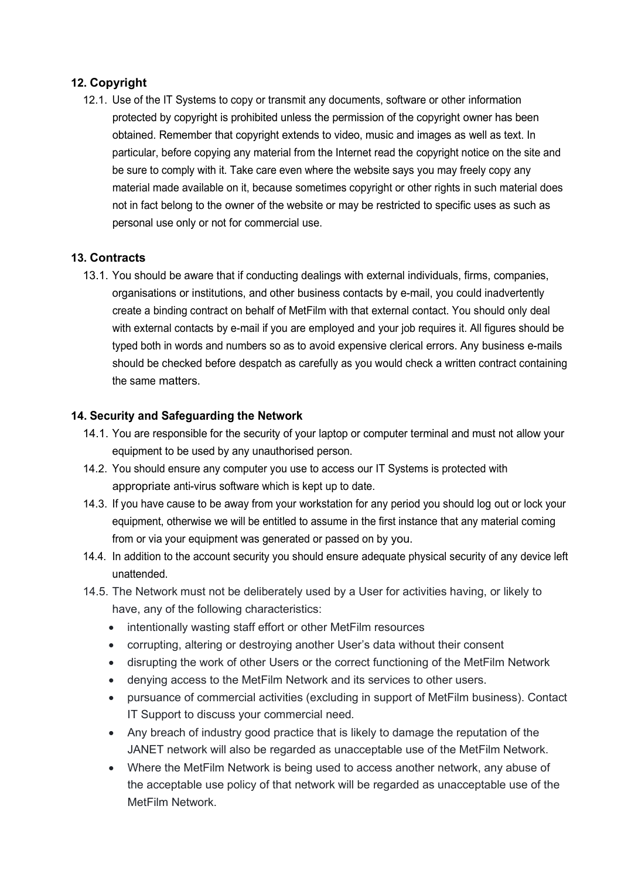## **12. Copyright**

12.1. Use of the IT Systems to copy or transmit any documents, software or other information protected by copyright is prohibited unless the permission of the copyright owner has been obtained. Remember that copyright extends to video, music and images as well as text. In particular, before copying any material from the Internet read the copyright notice on the site and be sure to comply with it. Take care even where the website says you may freely copy any material made available on it, because sometimes copyright or other rights in such material does not in fact belong to the owner of the website or may be restricted to specific uses as such as personal use only or not for commercial use.

## **13. Contracts**

13.1. You should be aware that if conducting dealings with external individuals, firms, companies, organisations or institutions, and other business contacts by e-mail, you could inadvertently create a binding contract on behalf of MetFilm with that external contact. You should only deal with external contacts by e-mail if you are employed and your job requires it. All figures should be typed both in words and numbers so as to avoid expensive clerical errors. Any business e-mails should be checked before despatch as carefully as you would check a written contract containing the same matters.

## **14. Security and Safeguarding the Network**

- 14.1. You are responsible for the security of your laptop or computer terminal and must not allow your equipment to be used by any unauthorised person.
- 14.2. You should ensure any computer you use to access our IT Systems is protected with appropriate anti-virus software which is kept up to date.
- 14.3. If you have cause to be away from your workstation for any period you should log out or lock your equipment, otherwise we will be entitled to assume in the first instance that any material coming from or via your equipment was generated or passed on by you.
- 14.4. In addition to the account security you should ensure adequate physical security of any device left unattended.
- 14.5. The Network must not be deliberately used by a User for activities having, or likely to have, any of the following characteristics:
	- intentionally wasting staff effort or other MetFilm resources
	- corrupting, altering or destroying another User's data without their consent
	- disrupting the work of other Users or the correct functioning of the MetFilm Network
	- denying access to the MetFilm Network and its services to other users.
	- pursuance of commercial activities (excluding in support of MetFilm business). Contact IT Support to discuss your commercial need*.*
	- Any breach of industry good practice that is likely to damage the reputation of the JANET network will also be regarded as unacceptable use of the MetFilm Network.
	- Where the MetFilm Network is being used to access another network, any abuse of the acceptable use policy of that network will be regarded as unacceptable use of the MetFilm Network.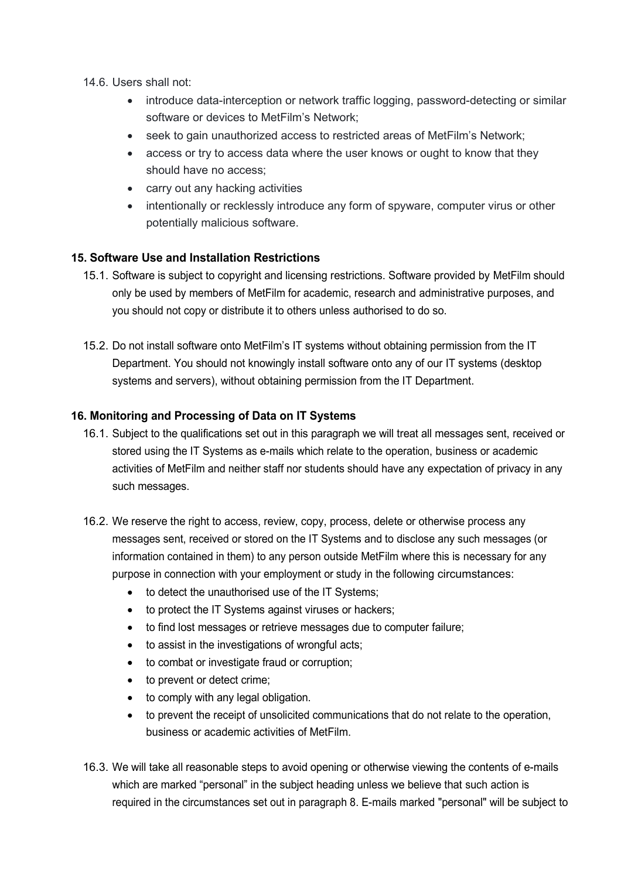- 14.6. Users shall not:
	- introduce data-interception or network traffic logging, password-detecting or similar software or devices to MetFilm's Network;
	- seek to gain unauthorized access to restricted areas of MetFilm's Network;
	- access or try to access data where the user knows or ought to know that they should have no access;
	- carry out any hacking activities
	- intentionally or recklessly introduce any form of spyware, computer virus or other potentially malicious software.

## **15. Software Use and Installation Restrictions**

- 15.1. Software is subject to copyright and licensing restrictions. Software provided by MetFilm should only be used by members of MetFilm for academic, research and administrative purposes, and you should not copy or distribute it to others unless authorised to do so.
- 15.2. Do not install software onto MetFilm's IT systems without obtaining permission from the IT Department. You should not knowingly install software onto any of our IT systems (desktop systems and servers), without obtaining permission from the IT Department.

## **16. Monitoring and Processing of Data on IT Systems**

- 16.1. Subject to the qualifications set out in this paragraph we will treat all messages sent, received or stored using the IT Systems as e-mails which relate to the operation, business or academic activities of MetFilm and neither staff nor students should have any expectation of privacy in any such messages.
- 16.2. We reserve the right to access, review, copy, process, delete or otherwise process any messages sent, received or stored on the IT Systems and to disclose any such messages (or information contained in them) to any person outside MetFilm where this is necessary for any purpose in connection with your employment or study in the following circumstances:
	- to detect the unauthorised use of the IT Systems;
	- to protect the IT Systems against viruses or hackers;
	- to find lost messages or retrieve messages due to computer failure;
	- to assist in the investigations of wrongful acts;
	- to combat or investigate fraud or corruption;
	- to prevent or detect crime;
	- to comply with any legal obligation.
	- to prevent the receipt of unsolicited communications that do not relate to the operation, business or academic activities of MetFilm.
- 16.3. We will take all reasonable steps to avoid opening or otherwise viewing the contents of e-mails which are marked "personal" in the subject heading unless we believe that such action is required in the circumstances set out in paragraph 8. E-mails marked "personal" will be subject to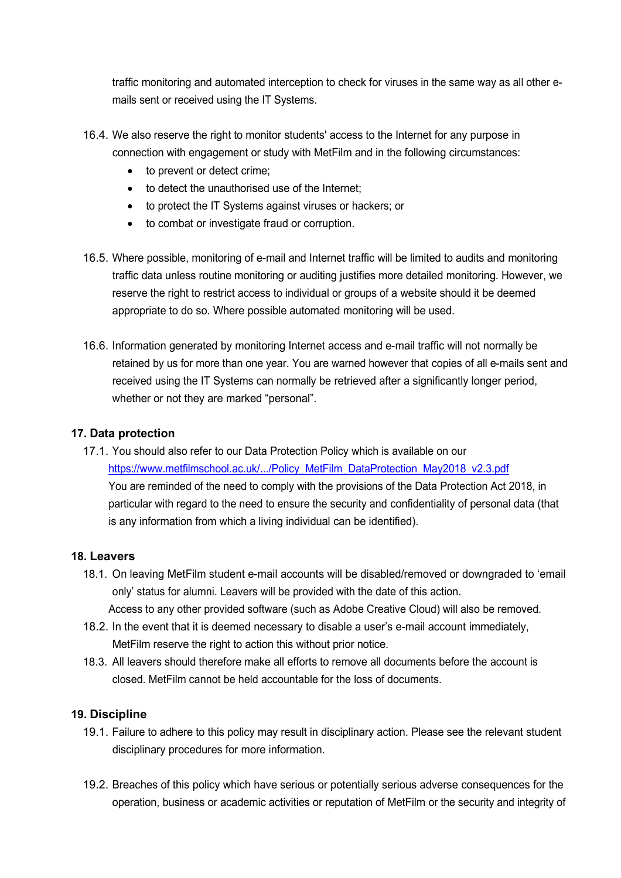traffic monitoring and automated interception to check for viruses in the same way as all other emails sent or received using the IT Systems.

- 16.4. We also reserve the right to monitor students' access to the Internet for any purpose in connection with engagement or study with MetFilm and in the following circumstances:
	- to prevent or detect crime;
	- to detect the unauthorised use of the Internet;
	- to protect the IT Systems against viruses or hackers; or
	- to combat or investigate fraud or corruption.
- 16.5. Where possible, monitoring of e-mail and Internet traffic will be limited to audits and monitoring traffic data unless routine monitoring or auditing justifies more detailed monitoring. However, we reserve the right to restrict access to individual or groups of a website should it be deemed appropriate to do so. Where possible automated monitoring will be used.
- 16.6. Information generated by monitoring Internet access and e-mail traffic will not normally be retained by us for more than one year. You are warned however that copies of all e-mails sent and received using the IT Systems can normally be retrieved after a significantly longer period, whether or not they are marked "personal".

## **17. Data protection**

17.1. You should also refer to our Data Protection Policy which is available on our [https://www.metfilmschool.ac.uk/.../Policy\\_MetFilm\\_DataProtection\\_May2018\\_v2.3.pdf](https://www.metfilmschool.ac.uk/wp-content/uploads/2018/05/Policy_MetFilm_DataProtection_May2018_v2.3.pdf) You are reminded of the need to comply with the provisions of the Data Protection Act 2018, in particular with regard to the need to ensure the security and confidentiality of personal data (that is any information from which a living individual can be identified).

## **18. Leavers**

- 18.1. On leaving MetFilm student e-mail accounts will be disabled/removed or downgraded to 'email only' status for alumni. Leavers will be provided with the date of this action. Access to any other provided software (such as Adobe Creative Cloud) will also be removed.
- 18.2. In the event that it is deemed necessary to disable a user's e-mail account immediately, MetFilm reserve the right to action this without prior notice.
- 18.3. All leavers should therefore make all efforts to remove all documents before the account is closed. MetFilm cannot be held accountable for the loss of documents.

## **19. Discipline**

- 19.1. Failure to adhere to this policy may result in disciplinary action. Please see the relevant student disciplinary procedures for more information.
- 19.2. Breaches of this policy which have serious or potentially serious adverse consequences for the operation, business or academic activities or reputation of MetFilm or the security and integrity of